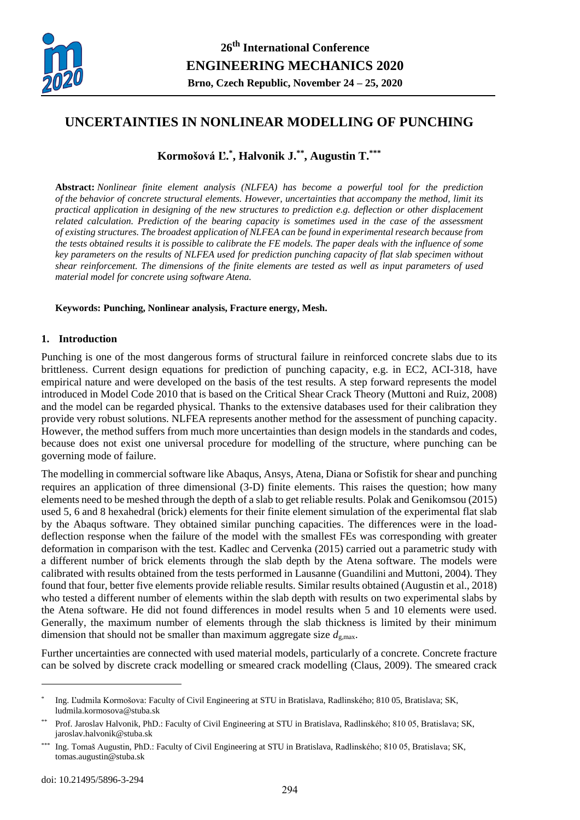

# **UNCERTAINTIES IN NONLINEAR MODELLING OF PUNCHING**

# **Kormošová Ľ. \* , Halvonik J. \*\* , Augustin T.\*\*\***

**Abstract:** *Nonlinear finite element analysis (NLFEA) has become a powerful tool for the prediction of the behavior of concrete structural elements. However, uncertainties that accompany the method, limit its practical application in designing of the new structures to prediction e.g. deflection or other displacement related calculation. Prediction of the bearing capacity is sometimes used in the case of the assessment of existing structures. The broadest application of NLFEA can be found in experimental research because from the tests obtained results it is possible to calibrate the FE models. The paper deals with the influence of some key parameters on the results of NLFEA used for prediction punching capacity of flat slab specimen without shear reinforcement. The dimensions of the finite elements are tested as well as input parameters of used material model for concrete using software Atena.*

## **Keywords: Punching, Nonlinear analysis, Fracture energy, Mesh.**

## **1. Introduction**

Punching is one of the most dangerous forms of structural failure in reinforced concrete slabs due to its brittleness. Current design equations for prediction of punching capacity, e.g. in EC2, ACI-318, have empirical nature and were developed on the basis of the test results. A step forward represents the model introduced in Model Code 2010 that is based on the Critical Shear Crack Theory (Muttoni and Ruiz, 2008) and the model can be regarded physical. Thanks to the extensive databases used for their calibration they provide very robust solutions. NLFEA represents another method for the assessment of punching capacity. However, the method suffers from much more uncertainties than design models in the standards and codes, because does not exist one universal procedure for modelling of the structure, where punching can be governing mode of failure.

The modelling in commercial software like Abaqus, Ansys, Atena, Diana or Sofistik for shear and punching requires an application of three dimensional (3-D) finite elements. This raises the question; how many elements need to be meshed through the depth of a slab to get reliable results. Polak and Genikomsou (2015) used 5, 6 and 8 hexahedral (brick) elements for their finite element simulation of the experimental flat slab by the Abaqus software. They obtained similar punching capacities. The differences were in the loaddeflection response when the failure of the model with the smallest FEs was corresponding with greater deformation in comparison with the test. Kadlec and Cervenka (2015) carried out a parametric study with a different number of brick elements through the slab depth by the Atena software. The models were calibrated with results obtained from the tests performed in Lausanne (Guandilini and Muttoni, 2004). They found that four, better five elements provide reliable results. Similar results obtained (Augustin et al., 2018) who tested a different number of elements within the slab depth with results on two experimental slabs by the Atena software. He did not found differences in model results when 5 and 10 elements were used. Generally, the maximum number of elements through the slab thickness is limited by their minimum dimension that should not be smaller than maximum aggregate size  $d_{g,\text{max}}$ .

Further uncertainties are connected with used material models, particularly of a concrete. Concrete fracture can be solved by discrete crack modelling or smeared crack modelling (Claus, 2009). The smeared crack

 $\overline{a}$ 

<sup>\*</sup> Ing. Ľudmila Kormošova: Faculty of Civil Engineering at STU in Bratislava, Radlinského; 810 05, Bratislava; SK, ludmila.kormosova@stuba.sk

<sup>\*\*</sup> Prof. Jaroslav Halvonik, PhD.: Faculty of Civil Engineering at STU in Bratislava, Radlinského; 810 05, Bratislava; SK, jaroslav.halvonik@stuba.sk

<sup>\*\*\*</sup> Ing. Tomaš Augustin, PhD.: Faculty of Civil Engineering at STU in Bratislava, Radlinského; 810 05, Bratislava; SK, tomas.augustin@stuba.sk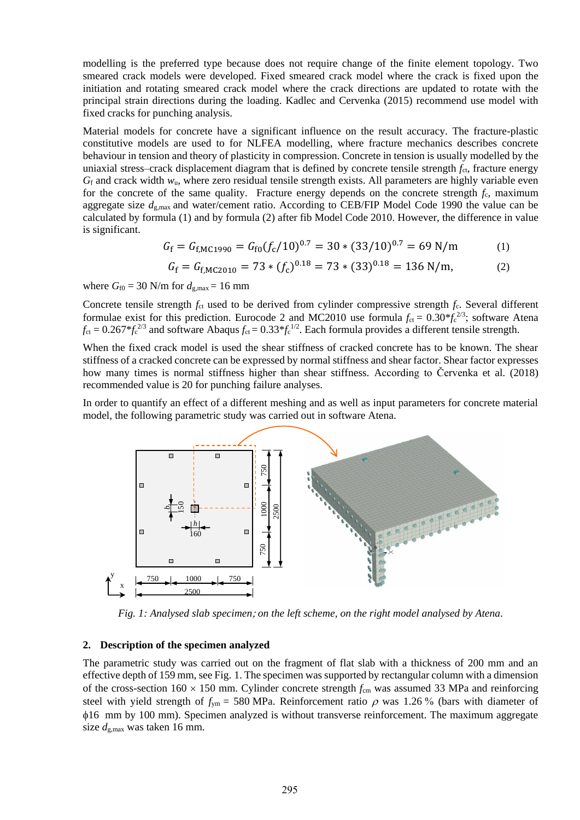modelling is the preferred type because does not require change of the finite element topology. Two smeared crack models were developed. Fixed smeared crack model where the crack is fixed upon the initiation and rotating smeared crack model where the crack directions are updated to rotate with the principal strain directions during the loading. Kadlec and Cervenka (2015) recommend use model with fixed cracks for punching analysis.

Material models for concrete have a significant influence on the result accuracy. The fracture-plastic constitutive models are used to for NLFEA modelling, where fracture mechanics describes concrete behaviour in tension and theory of plasticity in compression. Concrete in tension is usually modelled by the uniaxial stress–crack displacement diagram that is defined by concrete tensile strength  $f_{\text{ct}}$ , fracture energy  $G_f$  and crack width  $w_u$ , where zero residual tensile strength exists. All parameters are highly variable even for the concrete of the same quality. Fracture energy depends on the concrete strength  $f_c$ , maximum aggregate size *d*g,max and water/cement ratio. According to CEB/FIP Model Code 1990 the value can be calculated by formula (1) and by formula (2) after fib Model Code 2010. However, the difference in value is significant.

$$
G_{\rm f} = G_{\rm f,MC1990} = G_{\rm f0}(f_{\rm c}/10)^{0.7} = 30 \times (33/10)^{0.7} = 69 \text{ N/m}
$$
 (1)

$$
G_{\rm f} = G_{\rm f, MC2010} = 73 * (f_{\rm c})^{0.18} = 73 * (33)^{0.18} = 136 \,\text{N/m},\tag{2}
$$

where  $G_{f0} = 30$  N/m for  $d_{g,max} = 16$  mm

Concrete tensile strength  $f_c$  used to be derived from cylinder compressive strength  $f_c$ . Several different formulae exist for this prediction. Eurocode 2 and MC2010 use formula  $f_{ct} = 0.30 * f_c^{2/3}$ ; software Atena  $f_{\text{ct}} = 0.267 * f_{\text{c}}^{2/3}$  and software Abaqus  $f_{\text{ct}} = 0.33 * f_{\text{c}}^{1/2}$ . Each formula provides a different tensile strength.

When the fixed crack model is used the shear stiffness of cracked concrete has to be known. The shear stiffness of a cracked concrete can be expressed by normal stiffness and shear factor. Shear factor expresses how many times is normal stiffness higher than shear stiffness. According to Červenka et al. (2018) recommended value is 20 for punching failure analyses.

In order to quantify an effect of a different meshing and as well as input parameters for concrete material model, the following parametric study was carried out in software Atena.



*Fig. 1: Analysed slab specimen; on the left scheme, on the right model analysed by Atena.* 

### **2. Description of the specimen analyzed**

The parametric study was carried out on the fragment of flat slab with a thickness of 200 mm and an effective depth of 159 mm, see Fig. 1. The specimen was supported by rectangular column with a dimension of the cross-section  $160 \times 150$  mm. Cylinder concrete strength  $f_{cm}$  was assumed 33 MPa and reinforcing steel with yield strength of  $f_{\text{ym}}$  = 580 MPa. Reinforcement ratio  $\rho$  was 1.26 % (bars with diameter of 16 mm by 100 mm). Specimen analyzed is without transverse reinforcement. The maximum aggregate size  $d_{\text{g,max}}$  was taken 16 mm.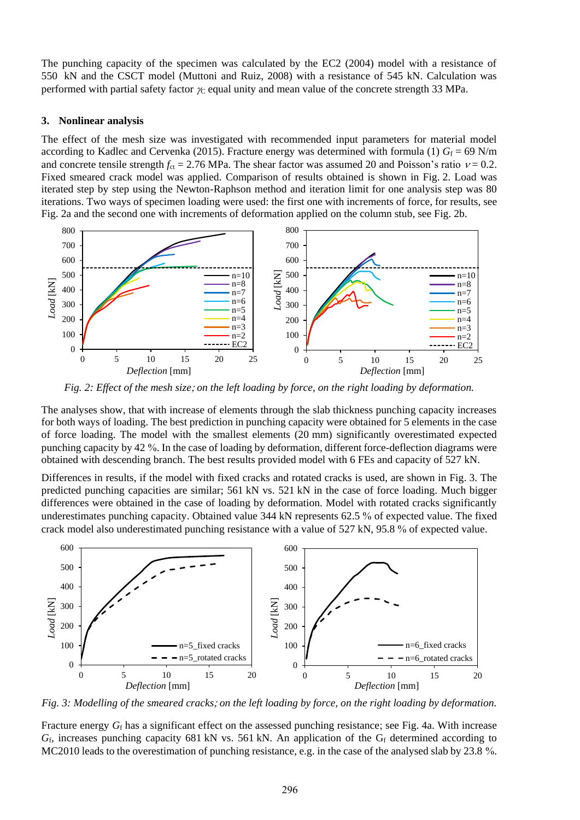The punching capacity of the specimen was calculated by the EC2 (2004) model with a resistance of 550 kN and the CSCT model (Muttoni and Ruiz, 2008) with a resistance of 545 kN. Calculation was performed with partial safety factor  $\chi$  equal unity and mean value of the concrete strength 33 MPa.

### **3. Nonlinear analysis**

The effect of the mesh size was investigated with recommended input parameters for material model according to Kadlec and Cervenka (2015). Fracture energy was determined with formula (1)  $G_f = 69$  N/m and concrete tensile strength  $f_{ct} = 2.76$  MPa. The shear factor was assumed 20 and Poisson's ratio  $v = 0.2$ . Fixed smeared crack model was applied. Comparison of results obtained is shown in Fig. 2. Load was iterated step by step using the Newton-Raphson method and iteration limit for one analysis step was 80 iterations. Two ways of specimen loading were used: the first one with increments of force, for results, see Fig. 2a and the second one with increments of deformation applied on the column stub, see Fig. 2b.



*Fig. 2: Effect of the mesh size on the left loading by force, on the right loading by deformation.*

The analyses show, that with increase of elements through the slab thickness punching capacity increases for both ways of loading. The best prediction in punching capacity were obtained for 5 elements in the case of force loading. The model with the smallest elements (20 mm) significantly overestimated expected punching capacity by 42 %. In the case of loading by deformation, different force-deflection diagrams were obtained with descending branch. The best results provided model with 6 FEs and capacity of 527 kN.

Differences in results, if the model with fixed cracks and rotated cracks is used, are shown in Fig. 3. The predicted punching capacities are similar; 561 kN vs. 521 kN in the case of force loading. Much bigger differences were obtained in the case of loading by deformation. Model with rotated cracks significantly underestimates punching capacity. Obtained value 344 kN represents 62.5 % of expected value. The fixed crack model also underestimated punching resistance with a value of 527 kN, 95.8 % of expected value.



*Fig. 3: Modelling of the smeared cracks on the left loading by force, on the right loading by deformation.*

Fracture energy  $G_f$  has a significant effect on the assessed punching resistance; see Fig. 4a. With increase G<sub>f</sub>, increases punching capacity 681 kN vs. 561 kN. An application of the G<sub>f</sub> determined according to MC2010 leads to the overestimation of punching resistance, e.g. in the case of the analysed slab by 23.8 %.